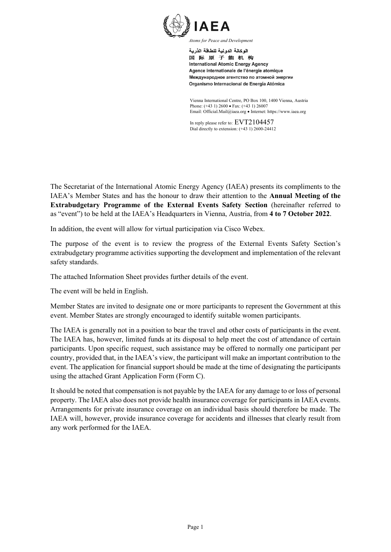

الوكالة الدولية للطاقة الذرية

国际原子能机构 **International Atomic Energy Agency** Agence internationale de l'énergie atomique Международное агентство по атомной энергии Organismo Internacional de Energía Atómica

Vienna International Centre, PO Box 100, 1400 Vienna, Austria Phone: (+43 1) 2600 • Fax: (+43 1) 26007 Email: Official.Mail@iaea.org • Internet: https://www.iaea.org

In reply please refer to: EVT2104457 Dial directly to extension: (+43 1) 2600-24412

The Secretariat of the International Atomic Energy Agency (IAEA) presents its compliments to the IAEA's Member States and has the honour to draw their attention to the **Annual Meeting of the Extrabudgetary Programme of the External Events Safety Section** (hereinafter referred to as "event") to be held at the IAEA's Headquarters in Vienna, Austria, from **4 to 7 October 2022**.

In addition, the event will allow for virtual participation via Cisco Webex.

The purpose of the event is to review the progress of the External Events Safety Section's extrabudgetary programme activities supporting the development and implementation of the relevant safety standards.

The attached Information Sheet provides further details of the event.

The event will be held in English.

Member States are invited to designate one or more participants to represent the Government at this event. Member States are strongly encouraged to identify suitable women participants.

The IAEA is generally not in a position to bear the travel and other costs of participants in the event. The IAEA has, however, limited funds at its disposal to help meet the cost of attendance of certain participants. Upon specific request, such assistance may be offered to normally one participant per country, provided that, in the IAEA's view, the participant will make an important contribution to the event. The application for financial support should be made at the time of designating the participants using the attached Grant Application Form (Form C).

It should be noted that compensation is not payable by the IAEA for any damage to or loss of personal property. The IAEA also does not provide health insurance coverage for participants in IAEA events. Arrangements for private insurance coverage on an individual basis should therefore be made. The IAEA will, however, provide insurance coverage for accidents and illnesses that clearly result from any work performed for the IAEA.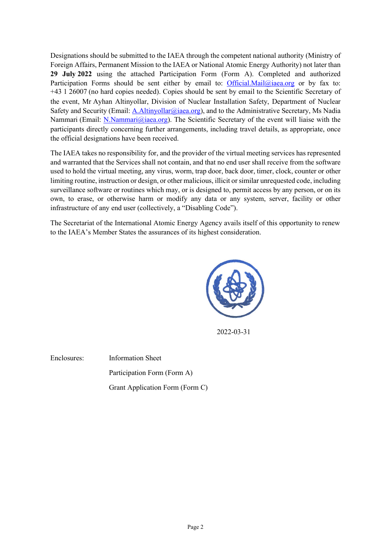Designations should be submitted to the IAEA through the competent national authority (Ministry of Foreign Affairs, Permanent Mission to the IAEA or National Atomic Energy Authority) not later than **29 July 2022** using the attached Participation Form (Form A). Completed and authorized Participation Forms should be sent either by email to: [Official.Mail@iaea.org](mailto:Official.Mail@iaea.org) or by fax to: +43 1 26007 (no hard copies needed). Copies should be sent by email to the Scientific Secretary of the event, Mr Ayhan Altinyollar, Division of Nuclear Installation Safety, Department of Nuclear Safety and Security (Email: [A.Altinyollar@iaea.org\)](mailto:A.Altinyollar@iaea.org), and to the Administrative Secretary, Ms Nadia Nammari (Email: [N.Nammari@iaea.org\)](mailto:N.Nammari@iaea.org). The Scientific Secretary of the event will liaise with the participants directly concerning further arrangements, including travel details, as appropriate, once the official designations have been received.

The IAEA takes no responsibility for, and the provider of the virtual meeting services has represented and warranted that the Services shall not contain, and that no end user shall receive from the software used to hold the virtual meeting, any virus, worm, trap door, back door, timer, clock, counter or other limiting routine, instruction or design, or other malicious, illicit or similar unrequested code, including surveillance software or routines which may, or is designed to, permit access by any person, or on its own, to erase, or otherwise harm or modify any data or any system, server, facility or other infrastructure of any end user (collectively, a "Disabling Code").

The Secretariat of the International Atomic Energy Agency avails itself of this opportunity to renew to the IAEA's Member States the assurances of its highest consideration.



2022-03-31

Enclosures: Information Sheet Participation Form (Form A)

Grant Application Form (Form C)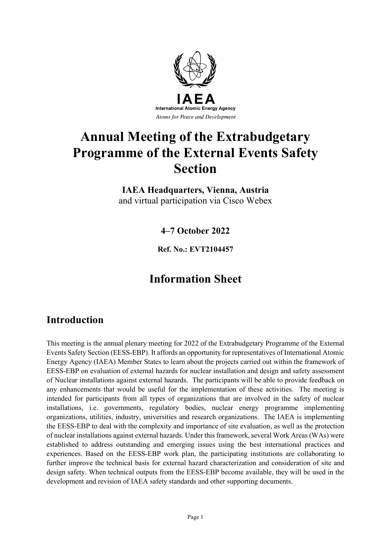

# **Annual Meeting of the Extrabudgetary Programme of the External Events Safety Section**

**IAEA Headquarters, Vienna, Austria** and virtual participation via Cisco Webex

**4–7 October 2022**

**Ref. No.: EVT2104457**

# **Information Sheet**

# **Introduction**

This meeting is the annual plenary meeting for 2022 of the Extrabudgetary Programme of the External Events Safety Section (EESS-EBP). It affords an opportunity for representatives of International Atomic Energy Agency (IAEA) Member States to learn about the projects carried out within the framework of EESS-EBP on evaluation of external hazards for nuclear installation and design and safety assessment of Nuclear installations against external hazards. The participants will be able to provide feedback on any enhancements that would be useful for the implementation of these activities. The meeting is intended for participants from all types of organizations that are involved in the safety of nuclear installations, i.e. governments, regulatory bodies, nuclear energy programme implementing organizations, utilities, industry, universities and research organizations. The IAEA is implementing the EESS-EBP to deal with the complexity and importance of site evaluation, as well as the protection of nuclear installations against external hazards. Under this framework, several Work Areas (WAs) were established to address outstanding and emerging issues using the best international practices and experiences. Based on the EESS-EBP work plan, the participating institutions are collaborating to further improve the technical basis for external hazard characterization and consideration of site and design safety. When technical outputs from the EESS-EBP become available, they will be used in the development and revision of IAEA safety standards and other supporting documents.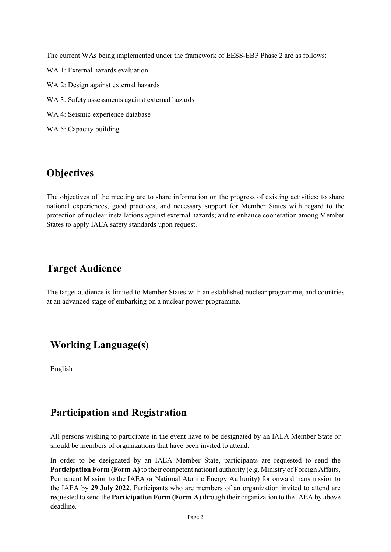The current WAs being implemented under the framework of EESS-EBP Phase 2 are as follows:

- WA 1: External hazards evaluation
- WA 2: Design against external hazards
- WA 3: Safety assessments against external hazards
- WA 4: Seismic experience database
- WA 5: Capacity building

# **Objectives**

The objectives of the meeting are to share information on the progress of existing activities; to share national experiences, good practices, and necessary support for Member States with regard to the protection of nuclear installations against external hazards; and to enhance cooperation among Member States to apply IAEA safety standards upon request.

# **Target Audience**

The target audience is limited to Member States with an established nuclear programme, and countries at an advanced stage of embarking on a nuclear power programme.

# **Working Language(s)**

English

# **Participation and Registration**

All persons wishing to participate in the event have to be designated by an IAEA Member State or should be members of organizations that have been invited to attend.

In order to be designated by an IAEA Member State, participants are requested to send the **Participation Form (Form A)** to their competent national authority (e.g. Ministry of Foreign Affairs, Permanent Mission to the IAEA or National Atomic Energy Authority) for onward transmission to the IAEA by **29 July 2022**. Participants who are members of an organization invited to attend are requested to send the **Participation Form (Form A)** through their organization to the IAEA by above deadline.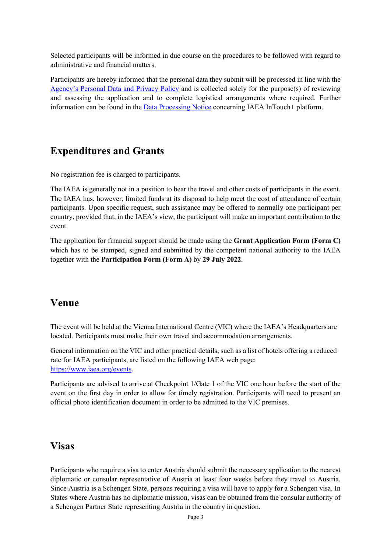Selected participants will be informed in due course on the procedures to be followed with regard to administrative and financial matters.

Participants are hereby informed that the personal data they submit will be processed in line with the [Agency's Personal Data and Privacy Policy](https://www.iaea.org/about/privacy-policy) and is collected solely for the purpose(s) of reviewing and assessing the application and to complete logistical arrangements where required. Further information can be found in the [Data Processing Notice](https://nucleus.iaea.org/sites/intouchplushelp/Documents/itp_dpn.pdf) concerning IAEA InTouch+ platform.

# **Expenditures and Grants**

No registration fee is charged to participants.

The IAEA is generally not in a position to bear the travel and other costs of participants in the event. The IAEA has, however, limited funds at its disposal to help meet the cost of attendance of certain participants. Upon specific request, such assistance may be offered to normally one participant per country, provided that, in the IAEA's view, the participant will make an important contribution to the event.

The application for financial support should be made using the **Grant Application Form (Form C)** which has to be stamped, signed and submitted by the competent national authority to the IAEA together with the **Participation Form (Form A)** by **29 July 2022**.

## **Venue**

The event will be held at the Vienna International Centre (VIC) where the IAEA's Headquarters are located. Participants must make their own travel and accommodation arrangements.

General information on the VIC and other practical details, such as a list of hotels offering a reduced rate for IAEA participants, are listed on the following IAEA web page: [https://www.iaea.org/events.](https://www.iaea.org/events)

Participants are advised to arrive at Checkpoint 1/Gate 1 of the VIC one hour before the start of the event on the first day in order to allow for timely registration. Participants will need to present an official photo identification document in order to be admitted to the VIC premises.

# **Visas**

Participants who require a visa to enter Austria should submit the necessary application to the nearest diplomatic or consular representative of Austria at least four weeks before they travel to Austria. Since Austria is a Schengen State, persons requiring a visa will have to apply for a Schengen visa. In States where Austria has no diplomatic mission, visas can be obtained from the consular authority of a Schengen Partner State representing Austria in the country in question.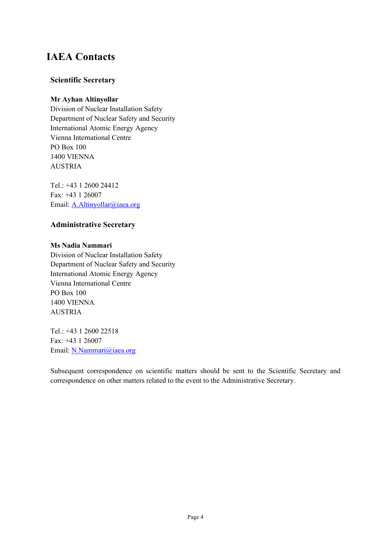# **IAEA Contacts**

## **Scientific Secretary**

### **Mr Ayhan Altinyollar**

Division of Nuclear Installation Safety Department of Nuclear Safety and Security International Atomic Energy Agency Vienna International Centre PO Box 100 1400 VIENNA AUSTRIA

Tel.: +43 1 2600 24412 Fax: +43 1 26007 Email: A.Altinyollar@iaea.org

## **Administrative Secretary**

### **Ms Nadia Nammari**

Division of Nuclear Installation Safety Department of Nuclear Safety and Security International Atomic Energy Agency Vienna International Centre PO Box 100 1400 VIENNA AUSTRIA

Tel.: +43 1 2600 22518 Fax: +43 1 26007 Email: [N.Nammari@iaea.org](mailto:N.Nammari@iaea.org)

Subsequent correspondence on scientific matters should be sent to the Scientific Secretary and correspondence on other matters related to the event to the Administrative Secretary.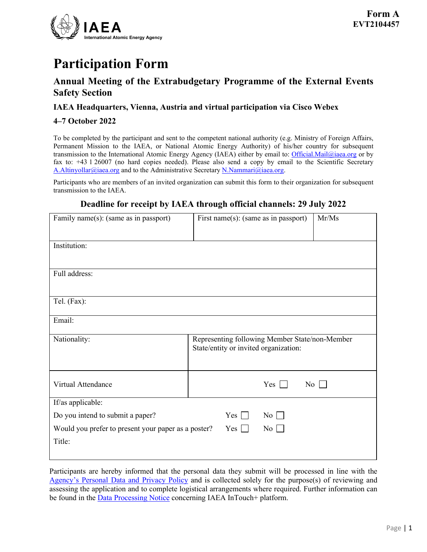

# **Participation Form**

# **Annual Meeting of the Extrabudgetary Programme of the External Events Safety Section**

### **IAEA Headquarters, Vienna, Austria and virtual participation via Cisco Webex**

### **4–7 October 2022**

To be completed by the participant and sent to the competent national authority (e.g. Ministry of Foreign Affairs, Permanent Mission to the IAEA, or National Atomic Energy Authority) of his/her country for subsequent transmission to the International Atomic Energy Agency (IAEA) either by email to: [Official.Mail@iaea.org](mailto:official.mail@iaea.org) or by fax to: +43 1 26007 (no hard copies needed). Please also send a copy by email to the Scientific Secretary A.Altinyollar@iaea.org and to the Administrative Secretary N.Nammari@iaea.org.

Participants who are members of an invited organization can submit this form to their organization for subsequent transmission to the IAEA.

## **Deadline for receipt by IAEA through official channels: 29 July 2022**

| Family name(s): (same as in passport)                                   | First name(s): (same as in passport)                                                    | Mr/Ms |  |  |
|-------------------------------------------------------------------------|-----------------------------------------------------------------------------------------|-------|--|--|
| Institution:                                                            |                                                                                         |       |  |  |
| Full address:                                                           |                                                                                         |       |  |  |
| Tel. (Fax):                                                             |                                                                                         |       |  |  |
| Email:                                                                  |                                                                                         |       |  |  |
| Nationality:                                                            | Representing following Member State/non-Member<br>State/entity or invited organization: |       |  |  |
| Virtual Attendance                                                      | Yes<br>No                                                                               |       |  |  |
| If/as applicable:                                                       |                                                                                         |       |  |  |
| Do you intend to submit a paper?                                        | $Yes \n\vert$<br>$\overline{\text{No}}$                                                 |       |  |  |
| Would you prefer to present your paper as a poster?<br>No<br>$Yes \Box$ |                                                                                         |       |  |  |
| Title:                                                                  |                                                                                         |       |  |  |

Participants are hereby informed that the personal data they submit will be processed in line with the [Agency's Personal Data and Privacy Policy](https://www.iaea.org/about/privacy-policy) and is collected solely for the purpose(s) of reviewing and assessing the application and to complete logistical arrangements where required. Further information can be found in the **Data Processing Notice** concerning IAEA InTouch+ platform.